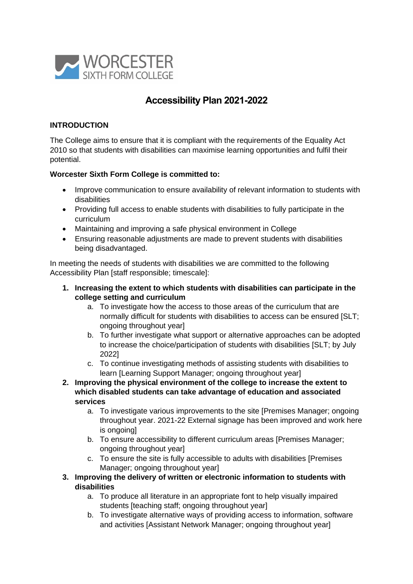

# **Accessibility Plan 2021-2022**

#### **INTRODUCTION**

The College aims to ensure that it is compliant with the requirements of the Equality Act 2010 so that students with disabilities can maximise learning opportunities and fulfil their potential.

#### **Worcester Sixth Form College is committed to:**

- Improve communication to ensure availability of relevant information to students with disabilities
- Providing full access to enable students with disabilities to fully participate in the curriculum
- Maintaining and improving a safe physical environment in College
- Ensuring reasonable adjustments are made to prevent students with disabilities being disadvantaged.

In meeting the needs of students with disabilities we are committed to the following Accessibility Plan [staff responsible; timescale]:

- **1. Increasing the extent to which students with disabilities can participate in the college setting and curriculum** 
	- a. To investigate how the access to those areas of the curriculum that are normally difficult for students with disabilities to access can be ensured [SLT: ongoing throughout year]
	- b. To further investigate what support or alternative approaches can be adopted to increase the choice/participation of students with disabilities [SLT; by July 2022]
	- c. To continue investigating methods of assisting students with disabilities to learn [Learning Support Manager; ongoing throughout year]
- **2. Improving the physical environment of the college to increase the extent to which disabled students can take advantage of education and associated services**
	- a. To investigate various improvements to the site [Premises Manager; ongoing throughout year. 2021-22 External signage has been improved and work here is ongoingl
	- b. To ensure accessibility to different curriculum areas [Premises Manager; ongoing throughout year]
	- c. To ensure the site is fully accessible to adults with disabilities [Premises Manager; ongoing throughout year]
- **3. Improving the delivery of written or electronic information to students with disabilities**
	- a. To produce all literature in an appropriate font to help visually impaired students [teaching staff; ongoing throughout year]
	- b. To investigate alternative ways of providing access to information, software and activities [Assistant Network Manager; ongoing throughout year]